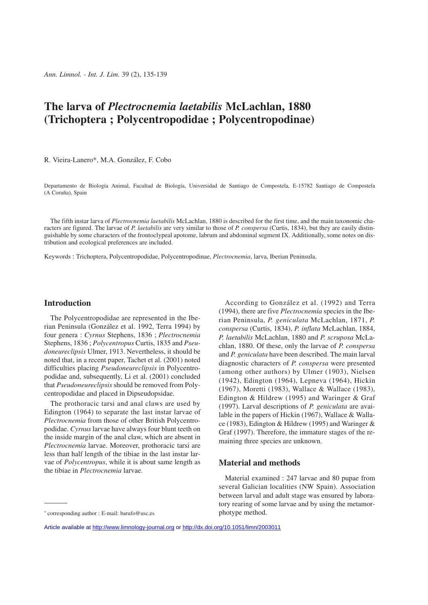# **The larva of** *Plectrocnemia laetabilis* **McLachlan, 1880 (Trichoptera ; Polycentropodidae ; Polycentropodinae)**

R. Vieira-Lanero\*, M.A. González, F. Cobo

Departamento de Biología Animal, Facultad de Biología, Universidad de Santiago de Compostela, E-15782 Santiago de Compostela (A Coruña), Spain

The fifth instar larva of *Plectrocnemia laetabilis* McLachlan, 1880 is described for the first time, and the main taxonomic characters are figured. The larvae of *P. laetabilis* are very similar to those of *P. conspersa* (Curtis, 1834), but they are easily distinguishable by some characters of the frontoclypeal apotome, labrum and abdominal segment IX. Additionally, some notes on distribution and ecological preferences are included.

Keywords : Trichoptera, Polycentropodidae, Polycentropodinae, *Plectrocnemia*, larva, Iberian Peninsula.

# **Introduction**

The Polycentropodidae are represented in the Iberian Peninsula (González et al. 1992, Terra 1994) by four genera : *Cyrnus* Stephens, 1836 ; *Plectrocnemia* Stephens, 1836 ; *Polycentropus* Curtis, 1835 and *Pseudoneureclipsis* Ulmer, 1913. Nevertheless, it should be noted that, in a recent paper, Tachet et al. (2001) noted difficulties placing *Pseudoneureclipsis* in Polycentropodidae and, subsequently, Li et al. (2001) concluded that *Pseudoneureclipsis* should be removed from Polycentropodidae and placed in Dipseudopsidae.

The prothoracic tarsi and anal claws are used by Edington (1964) to separate the last instar larvae of *Plectrocnemia* from those of other British Polycentropodidae. *Cyrnus* larvae have always four blunt teeth on the inside margin of the anal claw, which are absent in *Plectrocnemia* larvae. Moreover, prothoracic tarsi are less than half length of the tibiae in the last instar larvae of *Polycentropus*, while it is about same length as the tibiae in *Plectrocnemia* larvae.

According to González et al. (1992) and Terra (1994), there are five *Plectrocnemia* species in the Iberian Peninsula, *P. geniculata* McLachlan, 1871, *P. conspersa* (Curtis, 1834), *P. inflata* McLachlan, 1884, *P. laetabilis* McLachlan, 1880 and *P. scruposa* McLachlan, 1880. Of these, only the larvae of *P. conspersa* and *P. geniculata* have been described. The main larval diagnostic characters of *P. conspersa* were presented (among other authors) by Ulmer (1903), Nielsen (1942), Edington (1964), Lepneva (1964), Hickin (1967), Moretti (1983), Wallace & Wallace (1983), Edington & Hildrew (1995) and Waringer & Graf (1997). Larval descriptions of *P. geniculata* are available in the papers of Hickin (1967), Wallace & Wallace (1983), Edington & Hildrew (1995) and Waringer & Graf (1997). Therefore, the immature stages of the remaining three species are unknown.

# **Material and methods**

Material examined : 247 larvae and 80 pupae from several Galician localities (NW Spain). Association between larval and adult stage was ensured by laboratory rearing of some larvae and by using the metamorphotype method.

<sup>\*</sup> corresponding author : E-mail: barufo@usc.es

Article available at <http://www.limnology-journal.org> or <http://dx.doi.org/10.1051/limn/2003011>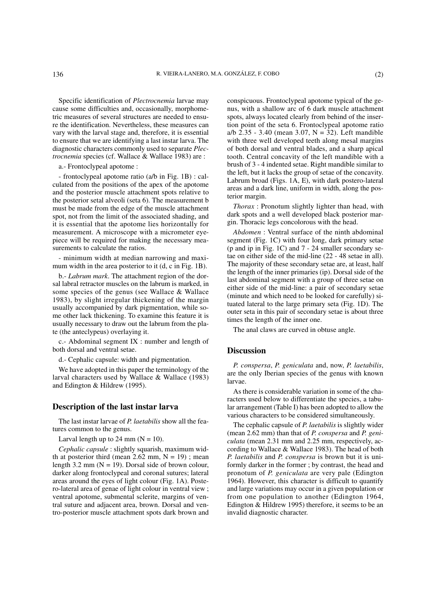Specific identification of *Plectrocnemia* larvae may cause some difficulties and, occasionally, morphometric measures of several structures are needed to ensure the identification. Nevertheless, these measures can vary with the larval stage and, therefore, it is essential to ensure that we are identifying a last instar larva. The diagnostic characters commonly used to separate *Plectrocnemia* species (cf. Wallace & Wallace 1983) are :

a.- Frontoclypeal apotome :

- frontoclypeal apotome ratio (a/b in Fig. 1B) : calculated from the positions of the apex of the apotome and the posterior muscle attachment spots relative to the posterior setal alveoli (seta 6). The measurement b must be made from the edge of the muscle attachment spot, not from the limit of the associated shading, and it is essential that the apotome lies horizontally for measurement. A microscope with a micrometer eyepiece will be required for making the necessary measurements to calculate the ratios.

- minimum width at median narrowing and maximum width in the area posterior to it (d, c in Fig. 1B).

b.- *Labrum mark*. The attachment region of the dorsal labral retractor muscles on the labrum is marked, in some species of the genus (see Wallace & Wallace 1983), by slight irregular thickening of the margin usually accompanied by dark pigmentation, while some other lack thickening. To examine this feature it is usually necessary to draw out the labrum from the plate (the anteclypeus) overlaying it.

c.- Abdominal segment IX : number and length of both dorsal and ventral setae.

d.- Cephalic capsule: width and pigmentation.

We have adopted in this paper the terminology of the larval characters used by Wallace & Wallace (1983) and Edington & Hildrew (1995).

# **Description of the last instar larva**

The last instar larvae of *P. laetabilis* show all the features common to the genus.

Larval length up to 24 mm  $(N = 10)$ .

*Cephalic capsule* : slightly squarish, maximum width at posterior third (mean 2.62 mm,  $N = 19$ ); mean length 3.2 mm ( $N = 19$ ). Dorsal side of brown colour, darker along frontoclypeal and coronal sutures; lateral areas around the eyes of light colour (Fig. 1A). Postero-lateral area of genae of light colour in ventral view ; ventral apotome, submental sclerite, margins of ventral suture and adjacent area, brown. Dorsal and ventro-posterior muscle attachment spots dark brown and conspicuous. Frontoclypeal apotome typical of the genus, with a shallow arc of 6 dark muscle attachment spots, always located clearly from behind of the insertion point of the seta 6. Frontoclypeal apotome ratio a/b  $2.35 - 3.40$  (mean 3.07, N = 32). Left mandible with three well developed teeth along mesal margins of both dorsal and ventral blades, and a sharp apical tooth. Central concavity of the left mandible with a brush of 3 - 4 indented setae. Right mandible similar to the left, but it lacks the group of setae of the concavity. Labrum broad (Figs. 1A, E), with dark postero-lateral areas and a dark line, uniform in width, along the posterior margin.

*Thorax* : Pronotum slightly lighter than head, with dark spots and a well developed black posterior margin. Thoracic legs concolorous with the head.

*Abdomen* : Ventral surface of the ninth abdominal segment (Fig. 1C) with four long, dark primary setae (p and ip in Fig. 1C) and 7 - 24 smaller secondary setae on either side of the mid-line (22 - 48 setae in all). The majority of these secondary setae are, at least, half the length of the inner primaries (ip). Dorsal side of the last abdominal segment with a group of three setae on either side of the mid-line: a pair of secondary setae (minute and which need to be looked for carefully) situated lateral to the large primary seta (Fig. 1D). The outer seta in this pair of secondary setae is about three times the length of the inner one.

The anal claws are curved in obtuse angle.

# **Discussion**

*P. conspersa*, *P. geniculata* and, now, *P. laetabilis*, are the only Iberian species of the genus with known larvae.

As there is considerable variation in some of the characters used below to differentiate the species, a tabular arrangement (Table I) has been adopted to allow the various characters to be considered simultaneously.

The cephalic capsule of *P. laetabilis* is slightly wider (mean 2.62 mm) than that of *P. conspersa* and *P. geniculata* (mean 2.31 mm and 2.25 mm, respectively, according to Wallace & Wallace 1983). The head of both *P. laetabilis* and *P. conspersa* is brown but it is uniformly darker in the former ; by contrast, the head and pronotum of *P. geniculata* are very pale (Edington 1964). However, this character is difficult to quantify and large variations may occur in a given population or from one population to another (Edington 1964, Edington & Hildrew 1995) therefore, it seems to be an invalid diagnostic character.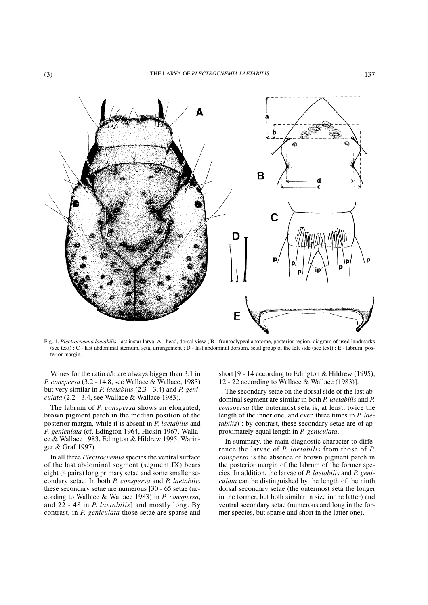

Fig. 1. *Plectrocnemia laetabilis*, last instar larva. A - head, dorsal view ; B - frontoclypeal apotome, posterior region, diagram of used landmarks (see text) ; C - last abdominal sternum, setal arrangement ; D - last abdominal dorsum, setal group of the left side (see text) ; E - labrum, posterior margin.

Values for the ratio a/b are always bigger than 3.1 in *P. conspersa* (3.2 - 14.8, see Wallace & Wallace, 1983) but very similar in *P. laetabilis* (2.3 - 3.4) and *P. geniculata* (2.2 - 3.4, see Wallace & Wallace 1983).

The labrum of *P. conspersa* shows an elongated, brown pigment patch in the median position of the posterior margin, while it is absent in *P. laetabilis* and *P. geniculata* (cf. Edington 1964, Hickin 1967, Wallace & Wallace 1983, Edington & Hildrew 1995, Waringer & Graf 1997).

In all three *Plectrocnemia* species the ventral surface of the last abdominal segment (segment IX) bears eight (4 pairs) long primary setae and some smaller secondary setae. In both *P. conspersa* and *P. laetabilis* these secondary setae are numerous [30 - 65 setae (according to Wallace & Wallace 1983) in *P. conspersa*, and 22 - 48 in *P. laetabilis*] and mostly long. By contrast, in *P. geniculata* those setae are sparse and short [9 - 14 according to Edington & Hildrew (1995), 12 - 22 according to Wallace & Wallace (1983)].

The secondary setae on the dorsal side of the last abdominal segment are similar in both *P. laetabilis* and *P. conspersa* (the outermost seta is, at least, twice the length of the inner one, and even three times in *P. laetabilis*) ; by contrast, these secondary setae are of approximately equal length in *P. geniculata*.

In summary, the main diagnostic character to difference the larvae of *P. laetabilis* from those of *P. conspersa* is the absence of brown pigment patch in the posterior margin of the labrum of the former species. In addition, the larvae of *P. laetabilis* and *P. geniculata* can be distinguished by the length of the ninth dorsal secondary setae (the outermost seta the longer in the former, but both similar in size in the latter) and ventral secondary setae (numerous and long in the former species, but sparse and short in the latter one).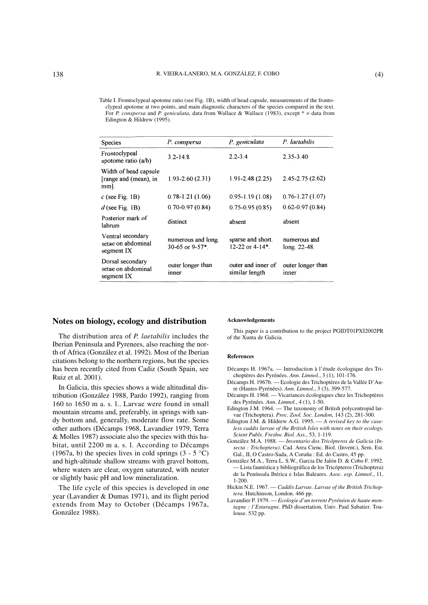Table I. Frontoclypeal apotome ratio (see Fig. 1B), width of head capsule, measurements of the frontoclypeal apotome at two points, and main diagnostic characters of the species compared in the text. For *P. conspersa* and *P. geniculata*, data from Wallace & Wallace (1983), except \* = data from Edington & Hildrew (1995).

| Species                                                   | P. conspersa                             | P. geniculata                                       | P. laetabilis                  |
|-----------------------------------------------------------|------------------------------------------|-----------------------------------------------------|--------------------------------|
| Frontoclypeal<br>apotome ratio $(a/b)$                    | $3.2 - 14.8$                             | $2.2 - 3.4$                                         | 2.35-3.40                      |
| Width of head capsule<br>[range and (mean), in<br>$mm$ ]. | $1.93 - 2.60(2.31)$                      | $1.91 - 2.48(2.25)$                                 | $2.45 - 2.75(2.62)$            |
| $c$ (see Fig. 1B)                                         | $0.78 - 1.21(1.06)$                      | $0.95 - 1.19(1.08)$                                 | $0.76 - 1.27(1.07)$            |
| $d$ (see Fig. 1B)                                         | $0.70 - 0.97(0.84)$                      | $0.75 - 0.95(0.85)$                                 | $0.62 - 0.97(0.84)$            |
| Posterior mark of<br>labrum                               | distinct                                 | absent                                              | absent                         |
| Ventral secondary<br>setae on abdominal<br>segment IX     | numerous and long.<br>30-65 or $9-57$ *. | sparse and short.<br>12-22 or $4-14$ <sup>*</sup> . | numerous and<br>$long. 22-48.$ |
| Dorsal secondary<br>setae on abdominal<br>segment IX      | outer longer than<br>inner               | outer and inner of<br>similar length                | outer longer than<br>inner     |

## **Notes on biology, ecology and distribution**

The distribution area of *P. laetabilis* includes the Iberian Peninsula and Pyrenees, also reaching the north of Africa (González et al. 1992). Most of the Iberian citations belong to the northern regions, but the species has been recently cited from Cadiz (South Spain, see Ruiz et al. 2001).

In Galicia, this species shows a wide altitudinal distribution (González 1988, Pardo 1992), ranging from 160 to 1650 m a. s. l.. Larvae were found in small mountain streams and, preferably, in springs with sandy bottom and, generally, moderate flow rate. Some other authors (Décamps 1968, Lavandier 1979, Terra & Molles 1987) associate also the species with this habitat, until 2200 m a. s. l. According to Décamps (1967a, b) the species lives in cold springs  $(3 - 5^{\circ}C)$ and high-altitude shallow streams with gravel bottom, where waters are clear, oxygen saturated, with neuter or slightly basic pH and low mineralization.

The life cycle of this species is developed in one year (Lavandier & Dumas 1971), and its flight period extends from May to October (Décamps 1967a, González 1988).

#### **Acknowledgements**

This paper is a contribution to the project PGIDT01PXI2002PR of the Xunta de Galicia.

### **References**

- Décamps H. 1967a. Introduction à l'étude écologique des Trichoptères des Pyrénées. *Ann. Limnol.*, 3 (1), 101-176.
- Décamps H. 1967b. Ecologie des Trichoptères de la Vallée D'Aure (Hautes-Pyrénées). *Ann. Limnol.*, 3 (3), 399-577.
- Décamps H. 1968. Vicariances écologiques chez les Trichoptères des Pyrénées. *Ann. Limnol.*, 4 (1), 1-50.
- Edington J.M. 1964. The taxonomy of British polycentropid larvae (Trichoptera). *Proc. Zool. Soc. London*, 143 (2), 281-300.
- Edington J.M. & Hildrew A.G. 1995. *A revised key to the caseless caddis larvae of the British Isles with notes on their ecology. Scient Publs. Freshw. Biol. Ass.*, 53, 1-119.
- González M.A. 1988. *Inventario dos Tricópteros de Galicia (Insecta : Trichoptera)*. Cad. Area Cienc. Biol. (Invent.), Sem. Est. Gal., II, O Castro-Sada, A Coruña : Ed. do Castro, 45 pp.
- González M.A., Terra L. S.W., Garcia De Jalón D. & Cobo F. 1992. — Lista faunística y bibliográfica de los Tricópteros (Trichoptera) de la Península Ibérica e Islas Baleares. *Asoc. esp. Limnol*., 11, 1-200.
- Hickin N.E. 1967. *Caddis Larvae. Larvae of the British Trichoptera*. Hutchinson, London. 466 pp.
- Lavandier P. 1979. *Ecologie d'un torrent Pyrénéen de haute montagne : l'Estaragne*. PhD dissertation, Univ. Paul Sabatier. Toulouse. 532 pp.